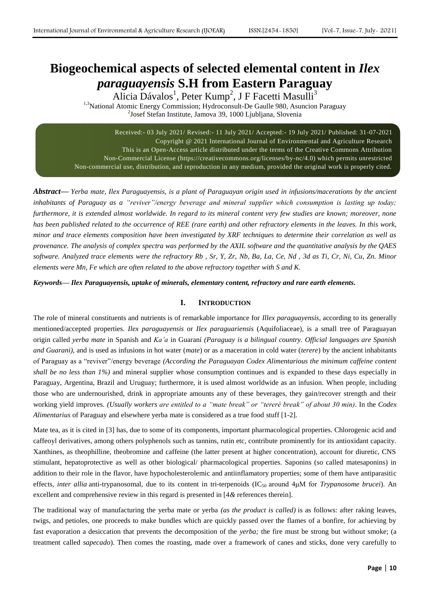# **Biogeochemical aspects of selected elemental content in** *Ilex paraguayensis* **S.H from Eastern Paraguay**

Alicia Dávalos<sup>1</sup>, Peter Kump<sup>2</sup>, J F Facetti Masulli<sup>3</sup>

<sup>1,3</sup>National Atomic Energy Commission; Hydroconsult-De Gaulle 980, Asuncion Paraguay <sup>2</sup>Josef Stefan Institute, Jamova 39, 1000 Ljubljana, Slovenia

Received:- 03 July 2021/ Revised:- 11 July 2021/ Accepted:- 19 July 2021/ Published: 31-07-2021 Copyright @ 2021 International Journal of Environmental and Agriculture Research This is an Open-Access article distributed under the terms of the Creative Commons Attribution Non-Commercial License (https://creativecommons.org/licenses/by-nc/4.0) which permits unrestricted Non-commercial use, distribution, and reproduction in any medium, provided the original work is properly cited.

*Abstract***—** *Yerba mate, Ilex Paraguayensis, is a plant of Paraguayan origin used in infusions/macerations by the ancient inhabitants of Paraguay as a "reviver"/energy beverage and mineral supplier which consumption is lasting up today; furthermore, it is extended almost worldwide. In regard to its mineral content very few studies are known; moreover, none has been published related to the occurrence of REE (rare earth) and other refractory elements in the leaves. In this work, minor and trace elements composition have been investigated by XRF techniques to determine their correlation as well as provenance. The analysis of complex spectra was performed by the AXIL software and the quantitative analysis by the QAES software. Analyzed trace elements were the refractory Rb , Sr, Y, Zr, Nb, Ba, La, Ce, Nd , 3d as Ti, Cr, Ni, Cu, Zn. Minor elements were Mn, Fe which are often related to the above refractory together with S and K.*

*Keywords— Ilex Paraguayensis, uptake of minerals, elementary content, refractory and rare earth elements.*

# **I. INTRODUCTION**

The role of mineral constituents and nutrients is of remarkable importance for *Illex paraguayensis*, according to its generally mentioned/accepted properties. *Ilex paraguayensis* or *Ilex paraguariensis* (Aquifoliaceae), is a small tree of Paraguayan origin called *yerba mate* in Spanish and *Ka'a* in Guaraní *(Paraguay is a bilingual country. Official languages are Spanish and Guarani),* and is used as infusions in hot water (*mate*) or as a maceration in cold water (*terere*) by the ancient inhabitants of Paraguay as a "reviver"/energy beverage *(According the Paraguayan Codex Alimentarious the minimum caffeine content shall be no less than 1%)* and mineral supplier whose consumption continues and is expanded to these days especially in Paraguay, Argentina, Brazil and Uruguay; furthermore, it is used almost worldwide as an infusion. When people, including those who are undernourished, drink in appropriate amounts any of these beverages, they gain/recover strength and their working yield improves. *(Usually workers are entitled to a "mate break" or "tereré break" of about 30 min)*. In the *Codex Alimentarius* of Paraguay and elsewhere yerba mate is considered as a true food stuff [1-2].

Mate tea, as it is cited in [3] has, due to some of its components, important pharmacological properties. Chlorogenic acid and caffeoyl derivatives, among others polyphenols such as tannins, rutin etc, contribute prominently for its antioxidant capacity. Xanthines, as theophilline, theobromine and caffeine (the latter present at higher concentration), account for diuretic, CNS stimulant, hepatoprotective as well as other biological/ pharmacological properties. Saponins (so called matesaponins) in addition to their role in the flavor, have hypocholesterolemic and antiinflamatory properties; some of them have antiparasitic effects, *inter allia* anti-trypanosomal, due to its content in tri-terpenoids (IC<sub>50</sub> around 4μM for *Trypanosome brucei*). An excellent and comprehensive review in this regard is presented in [4*&* references therein].

The traditional way of manufacturing the yerba mate or yerba *(as the product is called)* is as follows: after raking leaves, twigs, and petioles, one proceeds to make bundles which are quickly passed over the flames of a bonfire, for achieving by fast evaporation a desiccation that prevents the decomposition of the *yerba;* the fire must be strong but without smoke; (a treatment called *sapecado*). Then comes the roasting, made over a framework of canes and sticks, done very carefully to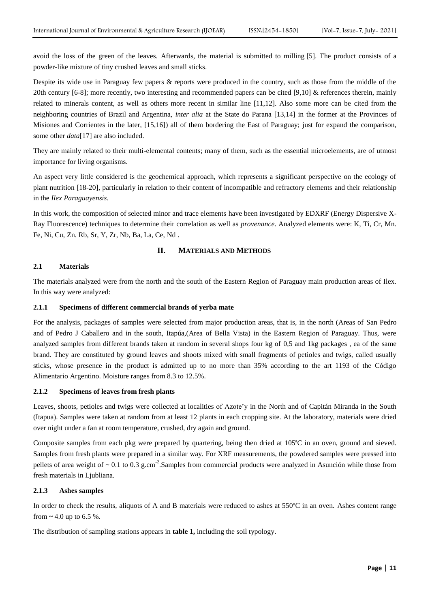avoid the loss of the green of the leaves. Afterwards, the material is submitted to milling [5]. The product consists of a powder-like mixture of tiny crushed leaves and small sticks.

Despite its wide use in Paraguay few papers & reports were produced in the country, such as those from the middle of the 20th century [6-8]; more recently, two interesting and recommended papers can be cited [9,10] & references therein, mainly related to minerals content, as well as others more recent in similar line [11,12]. Also some more can be cited from the neighboring countries of Brazil and Argentina, *inter alia* at the State do Parana [13,14] in the former at the Provinces of Misiones and Corrientes in the later, [15,16]) all of them bordering the East of Paraguay; just for expand the comparison, some other *data*[17] are also included.

They are mainly related to their multi-elemental contents; many of them, such as the essential microelements, are of utmost importance for living organisms.

An aspect very little considered is the geochemical approach, which represents a significant perspective on the ecology of plant nutrition [18-20], particularly in relation to their content of incompatible and refractory elements and their relationship in the *Ilex Paraguayensis.*

In this work, the composition of selected minor and trace elements have been investigated by EDXRF (Energy Dispersive X-Ray Fluorescence) techniques to determine their correlation as well as *provenance*. Analyzed elements were: K, Ti, Cr, Mn. Fe, Ni, Cu, Zn. Rb, Sr, Y, Zr, Nb, Ba, La, Ce, Nd .

### **II. MATERIALS AND METHODS**

# **2.1 Materials**

The materials analyzed were from the north and the south of the Eastern Region of Paraguay main production areas of Ilex. In this way were analyzed:

#### **2.1.1 Specimens of different commercial brands of yerba mate**

For the analysis, packages of samples were selected from major production areas, that is, in the north (Areas of San Pedro and of Pedro J Caballero and in the south, Itapúa,(Area of Bella Vista) in the Eastern Region of Paraguay. Thus, were analyzed samples from different brands taken at random in several shops four kg of 0,5 and 1kg packages , ea of the same brand. They are constituted by ground leaves and shoots mixed with small fragments of petioles and twigs, called usually sticks, whose presence in the product is admitted up to no more than 35% according to the art 1193 of the Código Alimentario Argentino. Moisture ranges from 8.3 to 12.5%.

#### **2.1.2 Specimens of leaves from fresh plants**

Leaves, shoots, petioles and twigs were collected at localities of Azote'y in the North and of Capitán Miranda in the South (Itapua). Samples were taken at random from at least 12 plants in each cropping site. At the laboratory, materials were dried over night under a fan at room temperature, crushed, dry again and ground.

Composite samples from each pkg were prepared by quartering, being then dried at 105ªC in an oven, ground and sieved. Samples from fresh plants were prepared in a similar way. For XRF measurements, the powdered samples were pressed into pellets of area weight of  $\sim 0.1$  to 0.3 g.cm<sup>-2</sup>. Samples from commercial products were analyzed in Asunción while those from fresh materials in Ljubliana.

#### **2.1.3 Ashes samples**

In order to check the results, aliquots of A and B materials were reduced to ashes at 550ºC in an oven. Ashes content range from **~** 4.0 up to 6.5 %.

The distribution of sampling stations appears in **table 1,** including the soil typology.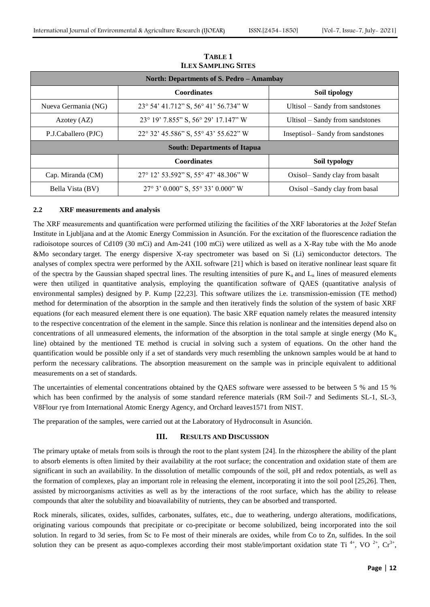|                                          | ILEX SAMPLING SITES                        |                                  |  |  |  |  |  |
|------------------------------------------|--------------------------------------------|----------------------------------|--|--|--|--|--|
| North: Departments of S. Pedro – Amambay |                                            |                                  |  |  |  |  |  |
|                                          | <b>Coordinates</b><br>Soil tipology        |                                  |  |  |  |  |  |
| Nueva Germania (NG)                      | 23° 54' 41.712" S, 56° 41' 56.734" W       | Ultisol – Sandy from sandstones  |  |  |  |  |  |
| Azotey $(AZ)$                            | 23° 19' 7.855" S, 56° 29' 17.147" W        | Ultisol – Sandy from sandstones  |  |  |  |  |  |
| P.J.Caballero (PJC)                      | 22° 32' 45.586" S, 55° 43' 55.622" W       | Inseptisol-Sandy from sandstones |  |  |  |  |  |
|                                          | <b>South: Departments of Itapua</b>        |                                  |  |  |  |  |  |
|                                          | <b>Coordinates</b>                         | Soil typology                    |  |  |  |  |  |
| Cap. Miranda (CM)                        | 27° 12' 53.592" S, 55° 47' 48.306" W       | Oxisol-Sandy clay from basalt    |  |  |  |  |  |
| Bella Vista (BV)                         | $27^{\circ}$ 3' 0.000" S, 55° 33' 0.000" W | Oxisol –Sandy clay from basal    |  |  |  |  |  |

**TABLE 1 ILEX SAMPLING SITES**

#### **2.2 XRF measurements and analysis**

The XRF measurements and quantification were performed utilizing the facilities of the XRF laboratories at the Jožef Stefan Institute in Ljubljana and at the Atomic Energy Commission in Asunción. For the excitation of the fluorescence radiation the radioisotope sources of Cd109 (30 mCi) and Am-241 (100 mCi) were utilized as well as a X-Ray tube with the Mo anode &Mo secondary target. The energy dispersive X-ray spectrometer was based on Si (Li) semiconductor detectors. The analyses of complex spectra were performed by the AXIL software [21] which is based on iterative nonlinear least square fit of the spectra by the Gaussian shaped spectral lines. The resulting intensities of pure  $K_a$  and  $L_a$  lines of measured elements were then utilized in quantitative analysis, employing the quantification software of QAES (quantitative analysis of environmental samples) designed by P. Kump [22,23]. This software utilizes the i.e. transmission-emission (TE method) method for determination of the absorption in the sample and then iteratively finds the solution of the system of basic XRF equations (for each measured element there is one equation). The basic XRF equation namely relates the measured intensity to the respective concentration of the element in the sample. Since this relation is nonlinear and the intensities depend also on concentrations of all unmeasured elements, the information of the absorption in the total sample at single energy (Mo  $K_a$ line) obtained by the mentioned TE method is crucial in solving such a system of equations. On the other hand the quantification would be possible only if a set of standards very much resembling the unknown samples would be at hand to perform the necessary calibrations. The absorption measurement on the sample was in principle equivalent to additional measurements on a set of standards.

The uncertainties of elemental concentrations obtained by the QAES software were assessed to be between 5 % and 15 % which has been confirmed by the analysis of some standard reference materials (RM Soil-7 and Sediments SL-1, SL-3, V8Flour rye from International Atomic Energy Agency, and Orchard leaves1571 from NIST.

The preparation of the samples, were carried out at the Laboratory of Hydroconsult in Asunción.

## **III. RESULTS AND DISCUSSION**

The primary uptake of metals from soils is through the root to the plant system [24]. In the rhizosphere the ability of the plant to absorb elements is often limited by their availability at the root surface; the concentration and oxidation state of them are significant in such an availability. In the dissolution of metallic compounds of the soil, pH and redox potentials, as well as the formation of complexes, play an important role in releasing the element, incorporating it into the soil pool [25,26]. Then, assisted by microorganisms activities as well as by the interactions of the root surface, which has the ability to release compounds that alter the solubility and bioavailability of nutrients, they can be absorbed and transported.

Rock minerals, silicates, oxides, sulfides, carbonates, sulfates, etc., due to weathering, undergo alterations, modifications, originating various compounds that precipitate or co-precipitate or become solubilized, being incorporated into the soil solution. In regard to 3d series, from Sc to Fe most of their minerals are oxides, while from Co to Zn, sulfides. In the soil solution they can be present as aquo-complexes according their most stable/important oxidation state Ti<sup>4+</sup>, VO<sup>2+</sup>, Cr<sup>3+</sup>,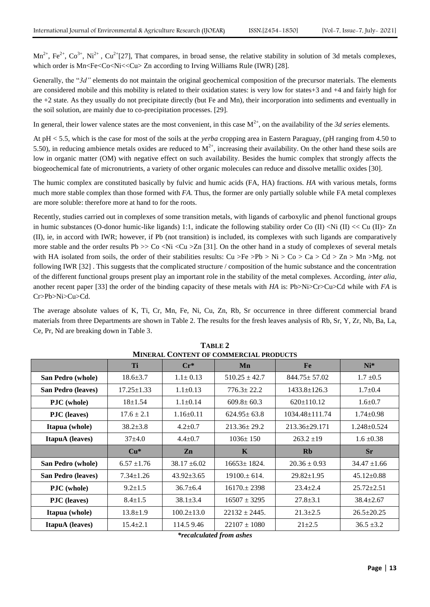$Mn^{2+}$ , Fe<sup>2+</sup>, Co<sup>3+</sup>, Ni<sup>2+</sup>, Cu<sup>2+</sup>[27], That compares, in broad sense, the relative stability in solution of 3d metals complexes, which order is Mn<Fe<Co<Ni<<Cu> Zn according to Irving Williams Rule (IWR) [28].

Generally, the "3d" elements do not maintain the original geochemical composition of the precursor materials. The elements are considered mobile and this mobility is related to their oxidation states: is very low for states+3 and +4 and fairly high for the +2 state. As they usually do not precipitate directly (but Fe and Mn), their incorporation into sediments and eventually in the soil solution, are mainly due to co-precipitation processes. [29].

In general, their lower valence states are the most convenient, in this case  $M^{2+}$ , on the availability of the 3d series elements.

At pH < 5.5, which is the case for most of the soils at the *yerba* cropping area in Eastern Paraguay, (pH ranging from 4.50 to 5.50), in reducing ambience metals oxides are reduced to  $M^{2+}$ , increasing their availability. On the other hand these soils are low in organic matter (OM) with negative effect on such availability. Besides the humic complex that strongly affects the biogeochemical fate of micronutrients, a variety of other organic molecules can reduce and dissolve metallic oxides [30].

The humic complex are constituted basically by fulvic and humic acids (FA, HA) fractions. *HA* with various metals, forms much more stable complex than those formed with *FA*. Thus, the former are only partially soluble while FA metal complexes are more soluble: therefore more at hand to for the roots.

Recently, studies carried out in complexes of some transition metals, with ligands of carboxylic and phenol functional groups in humic substances (O-donor humic-like ligands) 1:1, indicate the following stability order Co (II) <Ni (II) << Cu (II)  $>$  Zn (II), ie, in accord with IWR; however, if Pb (not transition) is included, its complexes with such ligands are comparatively more stable and the order results Pb  $>>$  Co  $<$ Ni  $<$ Cu  $>$ Zn [31]. On the other hand in a study of complexes of several metals with HA isolated from soils, the order of their stabilities results: Cu >Fe >Pb > Ni > Co > Ca > Cd > Zn > Mn >Mg. not following IWR [32] . This suggests that the complicated structure / composition of the humic substance and the concentration of the different functional groups present play an important role in the stability of the metal complexes. According, *inter alia,* another recent paper [33] the order of the binding capacity of these metals with *HA* is: Pb>Ni>Cr>Cu>Cd while with *FA* is Cr>Pb>Ni>Cu>Cd.

The average absolute values of K, Ti, Cr, Mn, Fe, Ni, Cu, Zn, Rb, Sr occurrence in three different commercial brand materials from three Departments are shown in Table 2. The results for the fresh leaves analysis of Rb, Sr, Y, Zr, Nb, Ba, La, Ce, Pr, Nd are breaking down in Table 3.

| <b>MINERAL CONTENT OF COMMERCIAL PRODUCTS</b> |                  |                  |                                  |                      |                   |  |  |  |  |
|-----------------------------------------------|------------------|------------------|----------------------------------|----------------------|-------------------|--|--|--|--|
|                                               | Ti               | $Cr^*$           | Mn                               | Fe                   |                   |  |  |  |  |
| San Pedro (whole)                             | $18.6 \pm 3.7$   | $1.1 \pm 0.13$   | $510.25 \pm 42.7$                | $844.75 + 57.02$     | $1.7 \pm 0.5$     |  |  |  |  |
| San Pedro (leaves)                            | $17.25 \pm 1.33$ | $1.1 \pm 0.13$   | $776.3 \pm 22.2$                 | $1433.8 \pm 126.3$   | $1.7 \pm 0.4$     |  |  |  |  |
| <b>PJC</b> (whole)                            | $18+1.54$        | $1.1 \pm 0.14$   | $609.8 \pm 60.3$                 | $620 \pm 110.12$     | $1.6 \pm 0.7$     |  |  |  |  |
| <b>PJC</b> (leaves)                           | $17.6 \pm 2.1$   | $1.16 \pm 0.11$  | $624.95 \pm 63.8$                | $1034.48 \pm 111.74$ | $1.74 \pm 0.98$   |  |  |  |  |
| Itapua (whole)                                | $38.2 \pm 3.8$   | $4.2 \pm 0.7$    | $213.36 \pm 29.2$                | $213.36 + 29.171$    | $1.248 \pm 0.524$ |  |  |  |  |
| <b>ItapuA</b> (leaves)                        | $37+4.0$         | $4.4 + 0.7$      | $1036 \pm 150$<br>$263.2 \pm 19$ |                      | $1.6 \pm 0.38$    |  |  |  |  |
|                                               | $Cu*$            | Zn               | K                                | <b>Rb</b>            | <b>Sr</b>         |  |  |  |  |
| San Pedro (whole)                             | $6.57 \pm 1.76$  | $38.17 \pm 6.02$ | $16653 \pm 1824.$                | $20.36 \pm 0.93$     | $34.47 \pm 1.66$  |  |  |  |  |
| <b>San Pedro (leaves)</b>                     | $7.34 \pm 1.26$  | $43.92 \pm 3.65$ | $19100 \pm 614$ .                | $29.82 \pm 1.95$     | $45.12 \pm 0.88$  |  |  |  |  |
| <b>PJC</b> (whole)                            | $9.2 \pm 1.5$    | $36.7 \pm 6.4$   | $16170 \pm 2398$                 | $23.4 \pm 2.4$       | $25.72 \pm 2.51$  |  |  |  |  |
| <b>PJC</b> (leaves)                           | $8.4 \pm 1.5$    | $38.1 \pm 3.4$   | $16507 \pm 3295$                 | $27.8 \pm 3.1$       | $38.4 \pm 2.67$   |  |  |  |  |
| Itapua (whole)                                | $13.8 \pm 1.9$   | $100.2 \pm 13.0$ | $22132 + 2445$ .                 | $21.3 \pm 2.5$       | $26.5 \pm 20.25$  |  |  |  |  |
| <b>ItapuA</b> (leaves)                        | $15.4 \pm 2.1$   | 114.5 9.46       | $22107 \pm 1080$                 | $21 \pm 2.5$         | $36.5 \pm 3.2$    |  |  |  |  |

**TABLE 2**

*\*recalculated from ashes*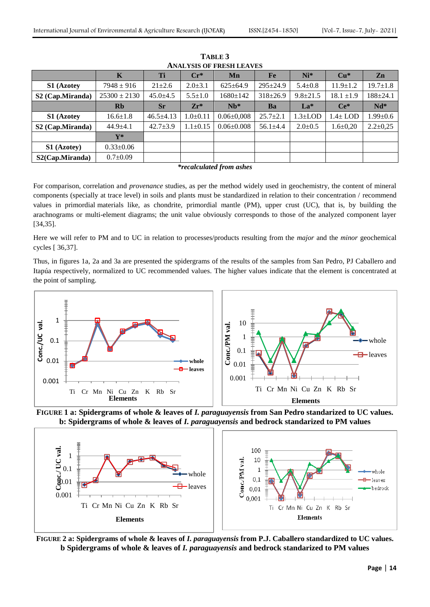| ANALI 313 UP FRESH LEAVES    |                  |                 |                |                  |                |               |                |                |  |  |
|------------------------------|------------------|-----------------|----------------|------------------|----------------|---------------|----------------|----------------|--|--|
|                              | $\mathbf K$      | Ti              | $Cr^*$         | Mn               | Fe             | $Ni*$         | $Cu*$          | Zn             |  |  |
| <b>S1</b> (Azotey            | $7948 \pm 916$   | $21 \pm 2.6$    | $2.0 \pm 3.1$  | $625 \pm 64.9$   | $295 \pm 24.9$ | $5.4 \pm 0.8$ | $11.9 \pm 1.2$ | $19.7 \pm 1.8$ |  |  |
| S2 (Cap.Miranda)             | $25300 \pm 2130$ | $45.0 \pm 4.5$  | $5.5 \pm 1.0$  | 1680±142         | $318 \pm 26.9$ | $9.8 + 21.5$  | $18.1 \pm 1.9$ | $188 + 24.1$   |  |  |
|                              | Rb               | <b>Sr</b>       | $Zr^*$         | $Nb^*$           | Ba             | $La*$         | $Ce^*$         | $Nd*$          |  |  |
| S1 (Azotey                   | $16.6 \pm 1.8$   | $46.5 \pm 4.13$ | $1.0\pm0.11$   | $0.06 \pm 0.008$ | $25.7 \pm 2.1$ | $1.3 \pm$ LOD | $1.4 \pm$ LOD  | $1.99 \pm 0.6$ |  |  |
| S <sub>2</sub> (Cap.Miranda) | $44.9 \pm 4.1$   | $42.7 \pm 3.9$  | $1.1 \pm 0.15$ | $0.06 \pm 0.008$ | $56.1 + 4.4$   | $2.0 \pm 0.5$ | $1.6 \pm 0.20$ | $2.2 \pm 0.25$ |  |  |
|                              | $\mathbf{V}^*$   |                 |                |                  |                |               |                |                |  |  |
| S1 (Azotey)                  | $0.33 \pm 0.06$  |                 |                |                  |                |               |                |                |  |  |
| S2(Cap.Miranda)              | $0.7 \pm 0.09$   |                 |                |                  |                |               |                |                |  |  |

**TABLE 3 ANALYSIS OF FRESH LEAVES**

*\*recalculated from ashes*

For comparison, correlation and *provenance* studies, as per the method widely used in geochemistry, the content of mineral components (specially at trace level) in soils and plants must be standardized in relation to their concentration / recommend values in primordial materials like, as chondrite, primordial mantle (PM), upper crust (UC), that is, by building the arachnograms or multi-element diagrams; the unit value obviously corresponds to those of the analyzed component layer [34,35].

Here we will refer to PM and to UC in relation to processes/products resulting from the *major* and the *minor* geochemical cycles [ 36,37].

Thus, in figures 1a, 2a and 3a are presented the spidergrams of the results of the samples from San Pedro, PJ Caballero and Itapúa respectively, normalized to UC recommended values. The higher values indicate that the element is concentrated at the point of sampling.



**FIGURE 1 a: Spidergrams of whole & leaves of** *I. paraguayensis* **from San Pedro standarized to UC values. b: Spidergrams of whole & leaves of** *I. paraguayensis* **and bedrock standarized to PM values**



**FIGURE 2 a: Spidergrams of whole & leaves of** *I. paraguayensis* **from P.J. Caballero standardized to UC values. b Spidergrams of whole & leaves of** *I. paraguayensis* **and bedrock standarized to PM values**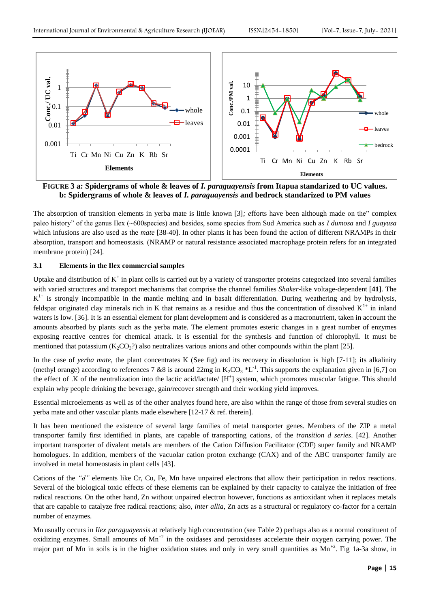

**FIGURE 3 a: Spidergrams of whole & leaves of** *I. paraguayensis* **from Itapua standarized to UC values. b: Spidergrams of whole & leaves of** *I. paraguayensis* **and bedrock standarized to PM values**

The absorption of transition elements in yerba mate is little known [3]*; e*fforts have been although made on the" complex paleo history" of the genus Ilex (~600species) and besides, some species from Sud America such as *I dumosa* and *I guayusa*  which infusions are also used as the *mate* [38-40]. In other plants it has been found the action of different NRAMPs in their absorption, transport and homeostasis. (NRAMP or natural resistance associated macrophage protein refers for an integrated membrane protein) [24].

## **3.1 Elements in the Ilex commercial samples**

Uptake and distribution of  $K^+$  in plant cells is carried out by a variety of transporter proteins categorized into several families with varied structures and transport mechanisms that comprise the channel families *Shaker*-like voltage-dependent [**41]**. The  $K^{1+}$  is strongly incompatible in the mantle melting and in basalt differentiation. During weathering and by hydrolysis, feldspar originated clay minerals rich in K that remains as a residue and thus the concentration of dissolved  $K^{1+}$  in inland waters is low. [36]. It is an essential element for plant development and is considered as a macronutrient, taken in account the amounts absorbed by plants such as the yerba mate. The element promotes esteric changes in a great number of enzymes exposing reactive centres for chemical attack. It is essential for the synthesis and function of chlorophyll. It must be mentioned that potassium  $(K_2CO_3^2)$  also neutralizes various anions and other compounds within the plant [25].

In the case of *yerba mate,* the plant concentrates K (See fig) and its recovery in dissolution is high [7-11]; its alkalinity (methyl orange) according to references 7 &8 is around 22mg in  $K_2CO_3$  \*L<sup>-1</sup>. This supports the explanation given in [6,7] on the effect of .K of the neutralization into the lactic acid/lactate/ [H<sup>+</sup>] system, which promotes muscular fatigue. This should explain why people drinking the beverage, gain/recover strength and their working yield improves.

Essential microelements as well as of the other analytes found here, are also within the range of those from several studies on yerba mate and other vascular plants made elsewhere [12-17 & ref. therein].

It has been mentioned the existence of several large families of metal transporter genes. Members of the ZIP a metal transporter family first identified in plants, are capable of transporting cations, of the *transition d series*. [42]. Another important transporter of divalent metals are members of the Cation Diffusion Facilitator (CDF) super family and NRAMP homologues. In addition, members of the vacuolar cation proton exchange (CAX) and of the ABC transporter family are involved in metal homeostasis in plant cells [43].

Cations of the *"d"* elements like Cr, Cu, Fe, Mn have unpaired electrons that allow their participation in redox reactions. Several of the biological toxic effects of these elements can be explained by their capacity to catalyze the initiation of free radical reactions. On the other hand, Zn without unpaired electron however, functions as antioxidant when it replaces metals that are capable to catalyze free radical reactions; also, *inter allia*, Zn acts as a structural or regulatory co-factor for a certain number of enzymes.

Mn usually occurs in *Ilex paraguayensis* at relatively high concentration (see Table 2) perhaps also as a normal constituent of oxidizing enzymes. Small amounts of  $Mn^{2}$  in the oxidases and peroxidases accelerate their oxygen carrying power. The major part of Mn in soils is in the higher oxidation states and only in very small quantities as  $Mn^{+2}$ . Fig 1a-3a show, in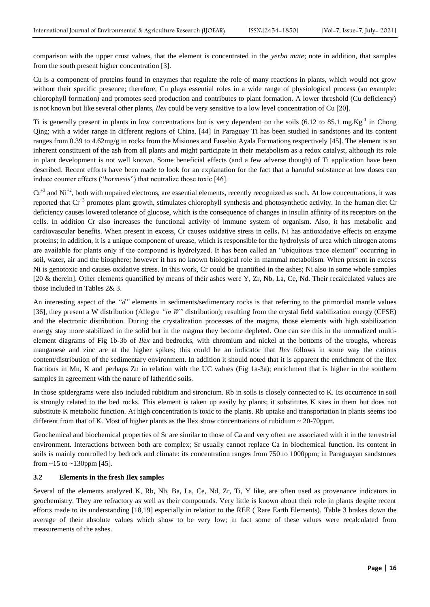comparison with the upper crust values, that the element is concentrated in the *yerba mate*; note in addition, that samples from the south present higher concentration [3].

Cu is a component of proteins found in enzymes that regulate the role of many reactions in plants, which would not grow without their specific presence; therefore, Cu plays essential roles in a wide range of physiological process (an example: chlorophyll formation) and promotes seed production and contributes to plant formation. A lower threshold (Cu deficiency) is not known but like several other plants, *Ilex* could be very sensitive to a low level concentration of Cu [20].

Ti is generally present in plants in low concentrations but is very dependent on the soils  $(6.12 \text{ to } 85.1 \text{ mg.Kg}^{-1})$  in Chong Qing; with a wider range in different regions of China. [44] In Paraguay Ti has been studied in sandstones and its content ranges from 0.39 to 4.62mg/g in rocks from the Misiones and Eusebio Ayala Formations respectively [45]. The element is an inherent constituent of the ash from all plants and might participate in their metabolism as a redox catalyst, although its role in plant development is not well known. Some beneficial effects (and a few adverse though) of Ti application have been described. Recent efforts have been made to look for an explanation for the fact that a harmful substance at low doses can induce counter effects ("*hormesis*") that neutralize those toxic [46].

 $Cr^{+3}$  and  $Ni^{+2}$ , both with unpaired electrons, are essential elements, recently recognized as such. At low concentrations, it was reported that Cr<sup>+3</sup> promotes plant growth, stimulates chlorophyll synthesis and photosynthetic activity. In the human diet Cr deficiency causes lowered tolerance of glucose, which is the consequence of changes in insulin affinity of its receptors on the cells. In addition Cr also increases the functional activity of immune system of organism. Also, it has metabolic and cardiovascular benefits. When present in excess, Cr causes oxidative stress in cells**.** Ni has antioxidative effects on enzyme proteins; in addition, it is a unique component of urease, which is responsible for the hydrolysis of urea which nitrogen atoms are available for plants only if the compound is hydrolyzed. It has been called an "ubiquitous trace element" occurring in soil, water, air and the biosphere; however it has no known biological role in mammal metabolism. When present in excess Ni is genotoxic and causes oxidative stress. In this work, Cr could be quantified in the ashes; Ni also in some whole samples [20 & therein]. Other elements quantified by means of their ashes were Y, Zr, Nb, La, Ce, Nd. Their recalculated values are those included in Tables 2& 3.

An interesting aspect of the *"d"* elements in sediments/sedimentary rocks is that referring to the primordial mantle values [36], they present a W distribution (Allegre *"in W"* distribution); resulting from the crystal field stabilization energy (CFSE) and the electronic distribution. During the crystalization processes of the magma, those elements with high stabilization energy stay more stabilized in the solid but in the magma they become depleted. One can see this in the normalized multielement diagrams of Fig 1b-3b of *Ilex* and bedrocks, with chromium and nickel at the bottoms of the troughs, whereas manganese and zinc are at the higher spikes; this could be an indicator that *Ilex* follows in some way the cations content/distribution of the sedimentary environment. In addition it should noted that it is apparent the enrichment of the Ilex fractions in Mn, K and perhaps Zn in relation with the UC values (Fig 1a-3a); enrichment that is higher in the southern samples in agreement with the nature of latheritic soils.

In those spidergrams were also included rubidium and stroncium. Rb in soils is closely connected to K. Its occurrence in soil is strongly related to the bed rocks. This element is taken up easily by plants; it substitutes K sites in them but does not substitute K metabolic function. At high concentration is toxic to the plants. Rb uptake and transportation in plants seems too different from that of K. Most of higher plants as the Ilex show concentrations of rubidium  $\sim$  20-70ppm.

Geochemical and biochemical properties of Sr are similar to those of Ca and very often are associated with it in the terrestrial environment. Interactions between both are complex; Sr usually cannot replace Ca in biochemical function. Its content in soils is mainly controlled by bedrock and climate: its concentration ranges from 750 to 1000ppm; in Paraguayan sandstones from  $~15$  to  $~130$ ppm [45].

## **3.2 Elements in the fresh Ilex samples**

Several of the elements analyzed K, Rb, Nb, Ba, La, Ce, Nd, Zr, Ti, Y like, are often used as provenance indicators in geochemistry. They are refractory as well as their compounds. Very little is known about their role in plants despite recent efforts made to its understanding [18,19] especially in relation to the REE ( Rare Earth Elements). Table 3 brakes down the average of their absolute values which show to be very low; in fact some of these values were recalculated from measurements of the ashes.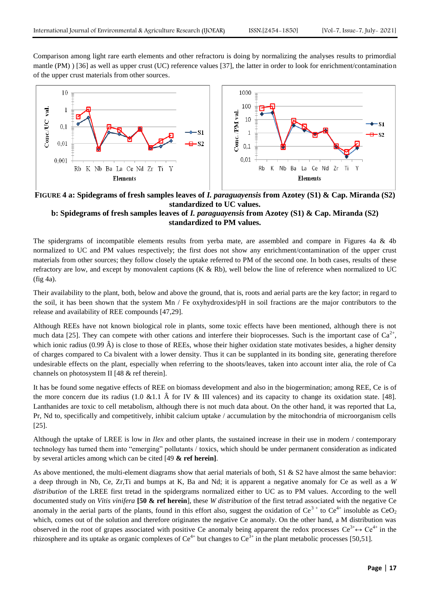Comparison among light rare earth elements and other refractoru is doing by normalizing the analyses results to primordial mantle (PM) ) [36] as well as upper crust (UC) reference values [37], the latter in order to look for enrichment/contamination of the upper crust materials from other sources.



**FIGURE 4 a: Spidegrams of fresh samples leaves of** *I. paraguayensis* **from Azotey (S1) & Cap. Miranda (S2) standardized to UC values.**

# **b: Spidegrams of fresh samples leaves of** *I. paraguayensis* **from Azotey (S1) & Cap. Miranda (S2) standardized to PM values.**

The spidergrams of incompatible elements results from yerba mate, are assembled and compare in Figures 4a & 4b normalized to UC and PM values respectively; the first does not show any enrichment/contamination of the upper crust materials from other sources; they follow closely the uptake referred to PM of the second one. In both cases, results of these refractory are low, and except by monovalent captions  $(K & Rb)$ , well below the line of reference when normalized to UC (fig 4a).

Their availability to the plant, both, below and above the ground, that is, roots and aerial parts are the key factor; in regard to the soil, it has been shown that the system Mn / Fe oxyhydroxides/pH in soil fractions are the major contributors to the release and availability of REE compounds [47,29].

Although REEs have not known biological role in plants, some toxic effects have been mentioned, although there is not much data [25]. They can compete with other cations and interfere their bioprocesses. Such is the important case of  $Ca^{2+}$ , which ionic radius  $(0.99 \text{ Å})$  is close to those of REEs, whose their higher oxidation state motivates besides, a higher density of charges compared to Ca bivalent with a lower density. Thus it can be supplanted in its bonding site, generating therefore undesirable effects on the plant, especially when referring to the shoots/leaves, taken into account inter alia, the role of Ca channels on photosystem II [48 & ref therein].

It has be found some negative effects of REE on biomass development and also in the biogermination; among REE, Ce is of the more concern due its radius (1.0 &1.1  $\hat{A}$  for IV & III valences) and its capacity to change its oxidation state. [48]. Lanthanides are toxic to cell metabolism, although there is not much data about. On the other hand, it was reported that La, Pr, Nd to, specifically and competitively, inhibit calcium uptake / accumulation by the mitochondria of microorganism cells [25].

Although the uptake of LREE is low in *Ilex* and other plants, the sustained increase in their use in modern / contemporary technology has turned them into "emerging" pollutants / toxics, which should be under permanent consideration as indicated by several articles among which can be cited [49 **& ref herein]**.

As above mentioned, the multi-element diagrams show that aerial materials of both,  $S1 \& S2$  have almost the same behavior: a deep through in Nb, Ce, Zr,Ti and bumps at K, Ba and Nd; it is apparent a negative anomaly for Ce as well as a *W distribution* of the LREE first tretad in the spidergrams normalized either to UC as to PM values. According to the well documented study on *Vitis vinifera* **[50 & ref herein**], these *W distribution* of the first tetrad associated with the negative Ce anomaly in the aerial parts of the plants, found in this effort also, suggest the oxidation of  $Ce^{3+}$  to  $Ce^{4+}$  insoluble as  $CeO<sub>2</sub>$ which, comes out of the solution and therefore originates the negative Ce anomaly. On the other hand, a M distribution was observed in the root of grapes associated with positive Ce anomaly being apparent the redox processes  $Ce^{3+} \leftrightarrow Ce^{4+}$  in the rhizosphere and its uptake as organic complexes of  $Ce^{4+}$  but changes to  $Ce^{3+}$  in the plant metabolic processes [50,51].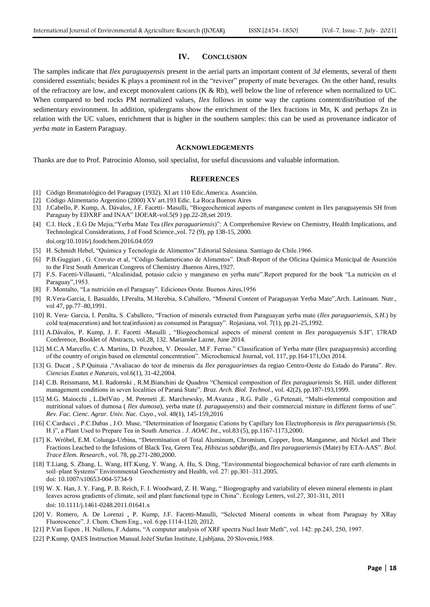#### **IV. CONCLUSION**

The samples indicate that *Ilex paraguayensis* present in the aerial parts an important content of *3d* elements, several of them considered essentials; besides K plays a prominent rol in the "reviver" property of mate beverages. On the other hand, results of the refractory are low, and except monovalent cations (K & Rb), well below the line of reference when normalized to UC. When compared to bed rocks PM normalized values, *Ilex* follows in some way the captions content/distribution of the sedimentary environment. In addition, spidergrams show the enrichment of the Ilex fractions in Mn, K and perhaps Zn in relation with the UC values, enrichment that is higher in the southern samples: this can be used as provenance indicator of *yerba mate* in Eastern Paraguay.

#### **ACKNOWLEDGEMENTS**

Thanks are due to Prof. Patrocinio Alonso, soil specialist, for useful discussions and valuable information.

#### **REFERENCES**

- [1] Código Bromatológico del Paraguay (1932). XI art 110 Edic.America. Asunción.
- [2] Código Alimentario Argentino (2000) XV art.193 Edic. La Roca Buenos Aires
- [3] J.Cabello, P. Kump, A. Dávalos, J.F. Facetti- Masulli, "Biogeochemical aspects of manganese content in Ilex paraguayensis SH from Paraguay by EDXRF and INAA" IJOEAR-vol.5(9 ) pp.22-28,set 2019.
- [4] C.I. Heck , E.G De Mejia,"Yerba Mate Tea (*Ilex paraguariensis*)": A Comprehensive Review on Chemistry, Health Implications, and Technological Considerations, J of Food Science.,vol. 72 (9), pp 138-15, 2000. [doi.org/10.1016/j.foodchem.2016.04.059](https://doi.org/10.1016/j.foodchem.2016.04.059)
- [5] H. Schmidt Hebel, "Química y Tecnología de Alimentos".Editorial Salesiana. Santiago de Chile.1966.
- [6] P.B.Guggiari , G. Crovato et al, "Código Sudamericano de Alimentos". Draft-Report of the Oficina Química Municipal de Asunción to the First South American Congress of Chemistry .Buenos Aires,1927.
- [7] F.S. Facetti-Villasanti, "Alcalinidad, potasio calcio y manganeso en yerba mate".Report prepared for the book "La nutrición en el Paraguay",1953.
- [8] F. Montalto, "La nutrición en el Paraguay". Ediciones Oeste. Buenos Aires,1956
- [9] R.Vera-Garcia, I. Basualdo, I.Peralta, M.Herebia, S.Caballero, "Mineral Content of Paraguayan Yerba Mate",Arch. Latinoam. Nutr., vol 47, pp.77–80,1991.
- [10] R. Vera- Garcia, I. Peralta, S. Caballero, "Fraction of minerals extracted from Paraguayan yerba mate (*Ilex paraguariensis, S.H*.) by cold tea(maceration) and hot tea(infusion) as consumed in Paraguay". Rojasiana, vol. 7(1), pp.21-25,1992.
- [11] A.Dávalos, P. Kump, J. F. Facetti -Masulli , "Biogeochemical aspects of mineral content in *Ilex paraguayensis* S.H", 17RAD Conference, Booklet of Abstracts, vol.28, 132. Marianske Lazne, June 2014.
- [12] M.C.A Marcello, C.A. Martins, D. Pozebon, V. Dressler, M.F. Ferrao." Classification of Yerba mate (Ilex paraguayensis) according of the country of origin based on elemental concentration". Microchemical Journal, vol. 117, pp.164-171,Oct 2014.
- [13] G. Ducat , S.P.Quinaia ,"Avaliacao do teor de minerais da *Ilex paraguarienses* da regiao Centro-Oeste do Estado do Parana". *Rev. Ciencias Exatas e Naturais*, vol.6(1), 31-42,2004.
- [14] C.B. Reissmann, M.I. Radomski , R.M.Bianchini de Quadros "Chemical composition of *Ilex paraguariensis* St. Hill. under different management conditions in seven localities of Paraná State". *Braz. Arch. Biol. Technol*., vol. 42(2), pp.187-193,1999.
- [15] M.G. Maiocchi , L.DelVito , M. Peteneti ,E. Marchewsky, M.Avanza , R.G. Palle , G.Petenati, "Multi-elemental composition and nutritional values of dumosa ( *Ilex dumosa*), yerba mate (*I. paraguayensis*) and their commercial mixture in different forms of use". *Rev. Fac. Cienc. Agrar. Univ. Nac. Cuyo*., vol. 48(1), 145-159,2016
- [16] C.Carducci , P.C.Dabas , J.O. Muse, "Determination of Inorganic Cations by Capillary Ion Electrophoresis in *Ilex paraguariensis* (St. H.)", a Plant Used to Prepare Tea in South America *. J. AOAC Int.*, vol.83 (5), pp.1167-1173,2000.
- [17] K. Wróbel, E.M. Colunga-Urbina, "Determination of Total Aluminum, Chromium, Copper, Iron, Manganese, and Nickel and Their Fractions Leached to the Infusions of Black Tea, Green Tea, *Hibiscus sabdariffa*, and *Ilex paraguariensis* (Mate) by ETA-AAS". *Biol. Trace Elem. Research.,* vol. 78, pp.271-280,2000.
- [18] T.Liang, S. Zhang, L. Wang, HT.Kung, Y. Wang, A. Hu, S. Ding, "Environmental biogeochemical behavior of rare earth elements in soil–plant Systems" Environmental Geochemistry and Health, vol. 27: pp.301–311.2005. doi: 10.1007/s10653-004-5734-9
- [19] W. X. Han, J. Y. Fang, P. B. Reich, F. I. Woodward, Z. H. Wang, " Biogeography and variability of eleven mineral elements in plant leaves across gradients of climate, soil and plant functional type in China". Ecology Letters, vol.27, 301-311, 2011 doi: 10.1111/j.1461-0248.2011.01641.x
- [20] V. Romero, A. De Lorenzi , P. Kump, J.F. Facetti-Masulli, "Selected Mineral contents in wheat from Paraguay by XRay Fluorescence". J. Chem. Chem Eng., vol. 6:pp.1114-1120, 2012.
- [21] P.Van Espen , H. Nullens, F.Adams, "A computer analysis of XRF spectra Nucl Instr Meth", vol. 142: pp.243, 250, 1997.
- [22] P.Kump, QAES Instruction Manual.Jožef Stefan Institute, Ljubljana, 20 Slovenia,1988.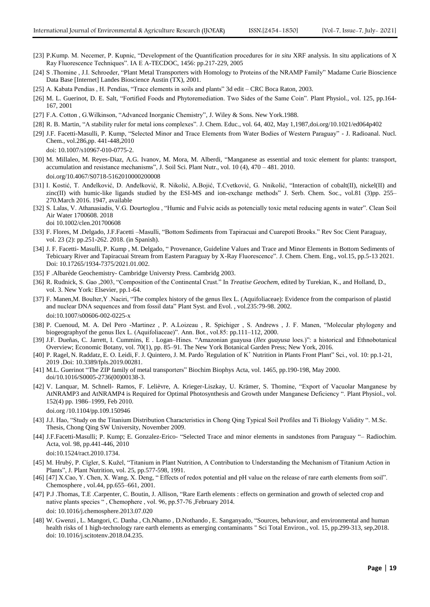- [23] P.Kump. M. Necemer, P. Kupnic, "Development of the Quantification procedures for *in situ* XRF analysis. In situ applications of X Ray Fluorescence Techniques". IA E A-TECDOC, 1456: pp.217-229, 2005
- [24] S .Thomine , J.I. Schroeder, "Plant Metal Transporters with Homology to Proteins of the NRAMP Family" Madame Curie Bioscience Data Base [Internet] Landes Bioscience Austin (TX), 2001.
- [25] A. Kabata Pendias , H. Pendias, "Trace elements in soils and plants" 3d edit CRC Boca Raton, 2003.
- [26] M. L. Guerinot, D. E. Salt, "Fortified Foods and Phytoremediation. Two Sides of the Same Coin". Plant Physiol., vol. 125, pp.164- 167, 2001
- [27] F.A. Cotton , G.Wilkinson, "Advanced Inorganic Chemistry"*,* J. Wiley & Sons. New York.1988.
- [28] R. B. Martin, "A stability ruler for metal ions complexes". J. Chem. Educ., vol. 64, 402, May 1,1987[,doi.org/10.1021/ed064p402](https://doi.org/10.1021/ed064p402)
- [29] J.F. Facetti-Masulli, P. Kump, "Selected Minor and Trace Elements from Water Bodies of Western Paraguay" J. Radioanal. Nucl. Chem., vol.286,pp. 441-448,2010 doi: 10.1007/s10967-010-0775-2.
- [30] M. Millaleo, M. Reyes-Diaz, A.G. Ivanov, M. Mora, M. Alberdi, "Manganese as essential and toxic element for plants: transport, accumulation and resistance mechanisms", J. Soil Sci. Plant Nutr., vol. 10 (4), 470 – 481. 2010. doi.org/10.4067/S0718-5162010000200008
- [31] I. Kostić, T. Anđelković, D. Anđelković, R. Nikolić, A.Bojić, T.Cvetković, G. Nnikolić, "Interaction of cobalt(II), nickel(II) and zinc(II) with humic-like ligands studied by the ESI-MS and ion-exchange methods" J. Serb. Chem. Soc., vol.81 (3)pp. 255– 270.March 2016. 1947, available
- [32] S. Lalas, V. Athanasiadis, V.G. Dourtoglou , "Humic and Fulvic acids as potencially toxic metal reducing agents in water". Clean Soil Air Water 1700608. 2018 doi 10.1002/clen.201700608
- [33] F. Flores, M .Delgado, J.F.Facetti –Masulli, "Bottom Sediments from Tapiracuai and Cuarepotí Brooks." Rev Soc Cient Paraguay, vol. 23 (2): pp.251-262. 2018. (in Spanish).
- [34] J. F. Facetti- Masulli, P. Kump , M. Delgado, " Provenance, Guideline Values and Trace and Minor Elements in Bottom Sediments of Tebicuary River and Tapiracuai Stream from Eastern Paraguay by X-Ray Fluorescence". J. Chem. Chem. Eng., vol.15, pp.5-13 2021. Doi: 10.17265/1934-7375/2021.01.002.
- [35] F .Albarède Geochemistry- Cambridge Universty Press. Cambridg 2003.
- [36] R. Rudnick, S. Gao ,2003, "Composition of the Continental Crust." In *Treatise Geochem*, edited by Turekian, K., and Holland, D., vol. 3. New York: Elsevier, pp.1-64.
- [37] F. [Manen,M](https://www.researchgate.net/scientific-contributions/Jean-Franois-Manen-39201401?_sg%5B0%5D=cIRgtWFukbdqyHWvUpSWbdR8fdyzTPk1CQ6j75OstOX1pwLVUelbCfibMBSKADU24SbU1is.UjlPgxZYn2wYt-FcqjzJ8DafXRq-UXH5Q6iOSmw6XkCyRESqEpcgfgaqMdnRirMPSzbFvH7lzKEjJ4caL0MWWg&_sg%5B1%5D=90faaQFdmgit198P8vPlCy_ZsSyJZB_bS6LUEASxG9RAQjNTydwCc8oUvLY3g5dbGnIs1dg.KQAjD0Qnai5_kOGO3VWqmuqyz2PqD_uGaxodpcdTeh_zxtZcRsZtpgpzjDt5raDqoqWB926HxgpysazdpX3Bfg). Boulter,Y .Naciri, "The complex history of the genus Ilex L. (Aquifoliaceae): Evidence from the comparison of plastid and nuclear DNA sequences and from fossil data" Plant Syst. and Evol. , vol.235:79-98. 2002. doi[:10.1007/s00606-002-0225-x](http://dx.doi.org/10.1007/s00606-002-0225-x)
- [38] P. Cuenoud, M. A. Del Pero -Martinez , P. A.Loizeau , R. Spichiger , S. Andrews , J. F. Manen, "Molecular phylogeny and biogeographyof the genus Ilex L. (Aquifoliaceae)". Ann. Bot., vol.85: pp.111–112, 2000.
- [39] J.F. Dueñas, C. Jarrett, I. Cummins, E . Logan–Hines. "Amazonian guayusa (*Ilex guayusa* loes.)": a historical and Ethnobotanical Overview; Economic Botany, vol. 70(1), pp. 85–91. The New York Botanical Garden Press; New York, 2016.
- [40] [P. Ragel,](https://www.ncbi.nlm.nih.gov/pubmed/?term=Ragel%20P%5BAuthor%5D&cauthor=true&cauthor_uid=30949187) [N. Raddatz,](https://www.ncbi.nlm.nih.gov/pubmed/?term=Raddatz%20N%5BAuthor%5D&cauthor=true&cauthor_uid=30949187) [E. O. Leidi,](https://www.ncbi.nlm.nih.gov/pubmed/?term=Leidi%20EO%5BAuthor%5D&cauthor=true&cauthor_uid=30949187) [F. J. Quintero,](https://www.ncbi.nlm.nih.gov/pubmed/?term=Quintero%20FJ%5BAuthor%5D&cauthor=true&cauthor_uid=30949187) [J. M. Pardo](https://www.ncbi.nlm.nih.gov/pubmed/?term=Pardo%20JM%5BAuthor%5D&cauthor=true&cauthor_uid=30949187) "Regulation of K<sup>+</sup> Nutrition in Plant[s Front Plant" Sci.,](https://www.ncbi.nlm.nih.gov/pmc/articles/PMC6435592/) vol. 10: pp.1-21, 2019 .Doi: [10.3389/fpls.2019.00281.](https://dx.doi.org/10.3389%2Ffpls.2019.00281)
- [41] [M.L. Guerinot](https://www.sciencedirect.com/science/article/pii/S0005273600001383?via%3Dihub#!) "The ZIP family of metal transporters" Biochim Biophys Acta, vol. 1465, pp.190-198, May 2000. [doi/10.1016/S0005-2736\(00\)00138-3.](https://doi.org/10.1016/S0005-2736(00)00138-3)
- [42] V. [Lanquar,](https://www.ncbi.nlm.nih.gov/pubmed/?term=Lanquar%20V%5BAuthor%5D&cauthor=true&cauthor_uid=20181755) M. [Schnell-](https://www.ncbi.nlm.nih.gov/pubmed/?term=Ramos%20MS%5BAuthor%5D&cauthor=true&cauthor_uid=20181755) Ramos, F. [Lelièvre,](https://www.ncbi.nlm.nih.gov/pubmed/?term=Leli%26%23x000e8%3Bvre%20F%5BAuthor%5D&cauthor=true&cauthor_uid=20181755) A. [Krieger-Liszkay,](https://www.ncbi.nlm.nih.gov/pubmed/?term=Krieger-Liszkay%20A%5BAuthor%5D&cauthor=true&cauthor_uid=20181755) [U. Krämer,](https://www.ncbi.nlm.nih.gov/pubmed/?term=Kr%26%23x000e4%3Bmer%20U%5BAuthor%5D&cauthor=true&cauthor_uid=20181755) [S. Thomin](https://www.ncbi.nlm.nih.gov/pubmed/?term=Thomine%20S%5BAuthor%5D&cauthor=true&cauthor_uid=20181755)e, "Export of Vacuolar Manganese by AtNRAMP3 and AtNRAMP4 is Required for Optimal Photosynthesis and Growth under Manganese Deficiency ". [Plant Physiol.,](https://www.ncbi.nlm.nih.gov/pmc/articles/PMC2850043/) vol. 152(4) pp. 1986–1999, Feb 2010.
	- doi.org [/10.1104/pp.109.150946](https://dx.doi.org/10.1104%2Fpp.109.150946)
- [43] J.J. Hao, "Study on the Titanium Distribution Characteristics in Chong Qing Typical Soil Profiles and Ti Biology Validity ". M.Sc. Thesis, Chong Qing SW University, November 2009.
- [44] J.F.Facetti-Masulli; P. Kump; E. Gonzalez-Erico- "Selected Trace and minor elements in sandstones from Paraguay "– Radiochim. Acta, vol. 98, pp.441-446, 2010
	- doi:10.1524/ract.2010.1734.
- [45] M. Hrubý, P. Cígler, S. Kužel, "Titanium in Plant Nutrition, A Contribution to Understanding the Mechanism of Titanium Action in Plants", J. Plant Nutrition, vol. 25*,* pp.577-598, 1991.
- [46] [47] X.Cao, Y. Chen, X. Wang, X. Deng, " Effects of redox potential and pH value on the release of rare earth elements from soil". Chemosphere , vol.44, pp.655–661, 2001.
- [47] P.J .Thomas, T.E .Carpenter, C. Boutin, J. Allison, "Rare Earth elements : effects on germination and growth of selected crop and native plants species " , Chemophere , vol. 96, pp.57-76 ,February 2014. doi: 10.1016/j.chemosphere.2013.07.020
- [48] [W. Gwenzi](https://pubmed.ncbi.nlm.nih.gov/?term=Gwenzi+W&cauthor_id=29709849) , [L. Mangori,](https://pubmed.ncbi.nlm.nih.gov/?term=Mangori+L&cauthor_id=29709849) [C. Danha](https://pubmed.ncbi.nlm.nih.gov/?term=Danha+C&cauthor_id=29709849) , Ch[.Nhamo ,](https://pubmed.ncbi.nlm.nih.gov/?term=Chaukura+N&cauthor_id=29709849) D[.Nothando](https://pubmed.ncbi.nlm.nih.gov/?term=Dunjana+N&cauthor_id=29709849) , E[. Sanganyado,](https://pubmed.ncbi.nlm.nih.gov/?term=Sanganyado+E&cauthor_id=29709849) "Sources, behaviour, and environmental and human health risks of 1 high-technology rare earth elements as emerging contaminants " Sci Total Environ., vol. 15, pp.299-313, sep,2018. doi: 10.1016/j.scitotenv.2018.04.235.